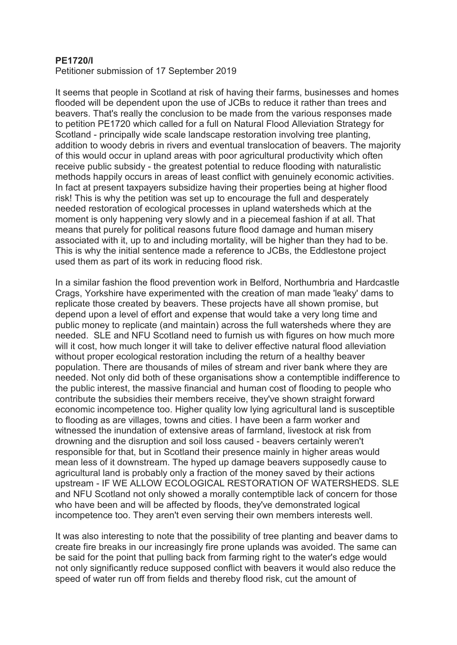## **PE1720/I**

Petitioner submission of 17 September 2019

It seems that people in Scotland at risk of having their farms, businesses and homes flooded will be dependent upon the use of JCBs to reduce it rather than trees and beavers. That's really the conclusion to be made from the various responses made to petition PE1720 which called for a full on Natural Flood Alleviation Strategy for Scotland - principally wide scale landscape restoration involving tree planting, addition to woody debris in rivers and eventual translocation of beavers. The majority of this would occur in upland areas with poor agricultural productivity which often receive public subsidy - the greatest potential to reduce flooding with naturalistic methods happily occurs in areas of least conflict with genuinely economic activities. In fact at present taxpayers subsidize having their properties being at higher flood risk! This is why the petition was set up to encourage the full and desperately needed restoration of ecological processes in upland watersheds which at the moment is only happening very slowly and in a piecemeal fashion if at all. That means that purely for political reasons future flood damage and human misery associated with it, up to and including mortality, will be higher than they had to be. This is why the initial sentence made a reference to JCBs, the Eddlestone project used them as part of its work in reducing flood risk.

In a similar fashion the flood prevention work in Belford, Northumbria and Hardcastle Crags, Yorkshire have experimented with the creation of man made 'leaky' dams to replicate those created by beavers. These projects have all shown promise, but depend upon a level of effort and expense that would take a very long time and public money to replicate (and maintain) across the full watersheds where they are needed. SLE and NFU Scotland need to furnish us with figures on how much more will it cost, how much longer it will take to deliver effective natural flood alleviation without proper ecological restoration including the return of a healthy beaver population. There are thousands of miles of stream and river bank where they are needed. Not only did both of these organisations show a contemptible indifference to the public interest, the massive financial and human cost of flooding to people who contribute the subsidies their members receive, they've shown straight forward economic incompetence too. Higher quality low lying agricultural land is susceptible to flooding as are villages, towns and cities. I have been a farm worker and witnessed the inundation of extensive areas of farmland, livestock at risk from drowning and the disruption and soil loss caused - beavers certainly weren't responsible for that, but in Scotland their presence mainly in higher areas would mean less of it downstream. The hyped up damage beavers supposedly cause to agricultural land is probably only a fraction of the money saved by their actions upstream - IF WE ALLOW ECOLOGICAL RESTORATION OF WATERSHEDS. SLE and NFU Scotland not only showed a morally contemptible lack of concern for those who have been and will be affected by floods, they've demonstrated logical incompetence too. They aren't even serving their own members interests well.

It was also interesting to note that the possibility of tree planting and beaver dams to create fire breaks in our increasingly fire prone uplands was avoided. The same can be said for the point that pulling back from farming right to the water's edge would not only significantly reduce supposed conflict with beavers it would also reduce the speed of water run off from fields and thereby flood risk, cut the amount of